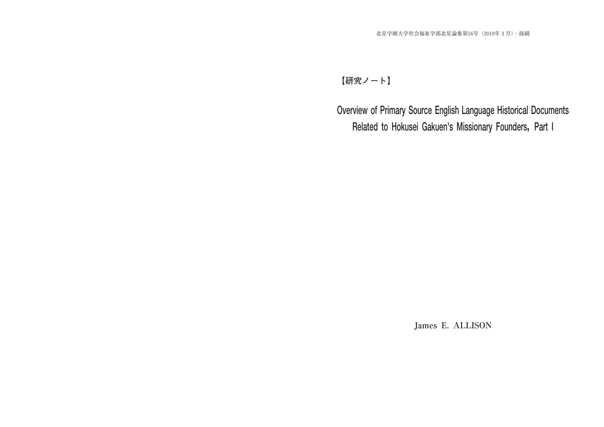**【研究ノート】**

**Overview of Primary Source English Language Historical Documents Related to Hokusei Gakuen's Missionary Founders,Part I**

James E. ALLISON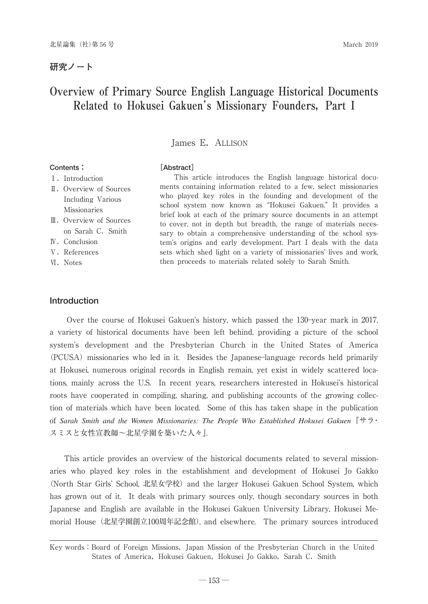## **研究ノート**

# **Overview of Primary Source English Language Historical Documents** Related to Hokusei Gakuen's Missionary Founders, Part I

# James E. ALLISON

## **Contents:**

#### **[Abstract]**

- I. Introduction Ⅱ.Overview of Sources Including Various Missionaries Ⅲ.Overview of Sources on Sarah C. Smith
- Ⅳ.Conclusion
- Ⅴ.References
- VI. Notes

This article introduces the English language historical documents containing information related to a few, select missionaries who played key roles in the founding and development of the school system now known as "Hokusei Gakuen." It provides a brief look at each of the primary source documents in an attempt to cover, not in depth but breadth, the range of materials necessary to obtain a comprehensive understanding of the school system's origins and early development. Part I deals with the data sets which shed light on a variety of missionaries' lives and work, then proceeds to materials related solely to Sarah Smith.

## **Introduction**

Over the course of Hokusei Gakuen's history, which passed the 130-year mark in 2017, a variety of historical documents have been left behind, providing a picture of the school system's development and the Presbyterian Church in the United States of America (PCUSA)missionaries who led in it. Besides the Japanese-language records held primarily at Hokusei, numerous original records in English remain, yet exist in widely scattered locations, mainly across the U.S. In recent years, researchers interested in Hokusei's historical roots have cooperated in compiling, sharing, and publishing accounts of the growing collection of materials which have been located. Some of this has taken shape in the publication of *Sarah Smith and the Women Missionaries: The People Who Established Hokusei Gakuen*『サラ・ スミスと女性宣教師~北星学園を築いた人々』*.*

This article provides an overview of the historical documents related to several missionaries who played key roles in the establishment and development of Hokusei Jo Gakko (North Star Girls' School, 北星女学校) and the larger Hokusei Gakuen School System, which has grown out of it. It deals with primary sources only, though secondary sources in both Japanese and English are available in the Hokusei Gakuen University Library, Hokusei Memorial House(北星学園創立100周年記念館), and elsewhere. The primary sources introduced

Key words: Board of Foreign Missions, Japan Mission of the Presbyterian Church in the United States of America, Hokusei Gakuen, Hokusei Jo Gakko, Sarah C. Smith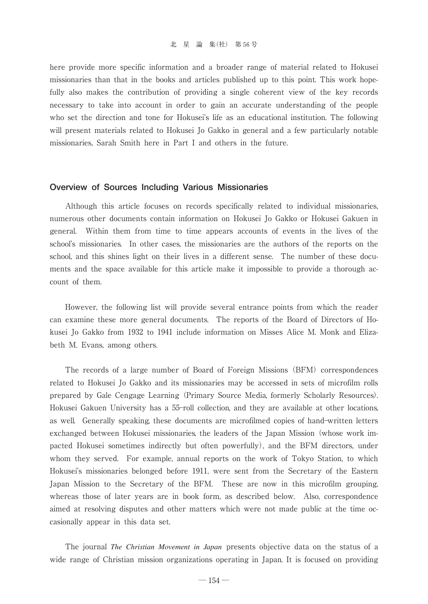here provide more specific information and a broader range of material related to Hokusei missionaries than that in the books and articles published up to this point. This work hopefully also makes the contribution of providing a single coherent view of the key records necessary to take into account in order to gain an accurate understanding of the people who set the direction and tone for Hokusei's life as an educational institution. The following will present materials related to Hokusei Jo Gakko in general and a few particularly notable missionaries, Sarah Smith here in Part I and others in the future.

#### **Overview of Sources Including Various Missionaries**

Although this article focuses on records specifically related to individual missionaries, numerous other documents contain information on Hokusei Jo Gakko or Hokusei Gakuen in general. Within them from time to time appears accounts of events in the lives of the school's missionaries. In other cases, the missionaries are the authors of the reports on the school, and this shines light on their lives in a different sense. The number of these documents and the space available for this article make it impossible to provide a thorough account of them.

However, the following list will provide several entrance points from which the reader can examine these more general documents. The reports of the Board of Directors of Hokusei Jo Gakko from 1932 to 1941 include information on Misses Alice M. Monk and Elizabeth M. Evans, among others.

The records of a large number of Board of Foreign Missions (BFM) correspondences related to Hokusei Jo Gakko and its missionaries may be accessed in sets of microfilm rolls prepared by Gale Cengage Learning (Primary Source Media, formerly Scholarly Resources). Hokusei Gakuen University has a 55-roll collection, and they are available at other locations, as well. Generally speaking, these documents are microfilmed copies of hand-written letters exchanged between Hokusei missionaries, the leaders of the Japan Mission (whose work impacted Hokusei sometimes indirectly but often powerfully), and the BFM directors, under whom they served. For example, annual reports on the work of Tokyo Station, to which Hokusei's missionaries belonged before 1911, were sent from the Secretary of the Eastern Japan Mission to the Secretary of the BFM. These are now in this microfilm grouping, whereas those of later years are in book form, as described below. Also, correspondence aimed at resolving disputes and other matters which were not made public at the time occasionally appear in this data set.

The journal *The Christian Movement in Japan* presents objective data on the status of a wide range of Christian mission organizations operating in Japan. It is focused on providing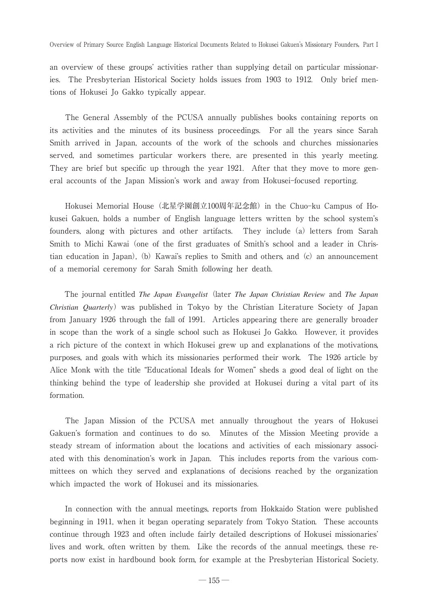an overview of these groups' activities rather than supplying detail on particular missionaries. The Presbyterian Historical Society holds issues from 1903 to 1912. Only brief mentions of Hokusei Jo Gakko typically appear.

The General Assembly of the PCUSA annually publishes books containing reports on its activities and the minutes of its business proceedings. For all the years since Sarah Smith arrived in Japan, accounts of the work of the schools and churches missionaries served, and sometimes particular workers there, are presented in this yearly meeting. They are brief but specific up through the year 1921. After that they move to more general accounts of the Japan Mission's work and away from Hokusei-focused reporting.

Hokusei Memorial House(北星学園創立100周年記念館)in the Chuo-ku Campus of Hokusei Gakuen, holds a number of English language letters written by the school system's founders, along with pictures and other artifacts. They include (a) letters from Sarah Smith to Michi Kawai (one of the first graduates of Smith's school and a leader in Christian education in Japan), (b) Kawai's replies to Smith and others, and (c) an announcement of a memorial ceremony for Sarah Smith following her death.

The journal entitled *The Japan Evangelist*(later *The Japan Christian Review* and *The Japan Christian Quarterly*)was published in Tokyo by the Christian Literature Society of Japan from January 1926 through the fall of 1991. Articles appearing there are generally broader in scope than the work of a single school such as Hokusei Jo Gakko. However, it provides a rich picture of the context in which Hokusei grew up and explanations of the motivations, purposes, and goals with which its missionaries performed their work. The 1926 article by Alice Monk with the title "Educational Ideals for Women" sheds a good deal of light on the thinking behind the type of leadership she provided at Hokusei during a vital part of its formation.

The Japan Mission of the PCUSA met annually throughout the years of Hokusei Gakuen's formation and continues to do so. Minutes of the Mission Meeting provide a steady stream of information about the locations and activities of each missionary associated with this denomination's work in Japan. This includes reports from the various committees on which they served and explanations of decisions reached by the organization which impacted the work of Hokusei and its missionaries.

In connection with the annual meetings, reports from Hokkaido Station were published beginning in 1911, when it began operating separately from Tokyo Station. These accounts continue through 1923 and often include fairly detailed descriptions of Hokusei missionaries lives and work, often written by them. Like the records of the annual meetings, these reports now exist in hardbound book form, for example at the Presbyterian Historical Society.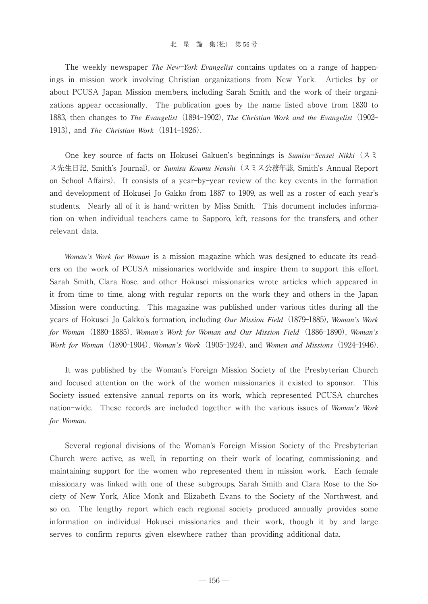#### 北星論集(社) 第56号

The weekly newspaper *The New*-*York Evangelist* contains updates on a range of happenings in mission work involving Christian organizations from New York. Articles by or about PCUSA Japan Mission members, including Sarah Smith, and the work of their organizations appear occasionally. The publication goes by the name listed above from 1830 to 1883, then changes to *The Evangelist* (1894–1902), *The Christian Work and the Evangelist* (1902– 1913), and *The Christian Work*(1914-1926).

One key source of facts on Hokusei Gakuen's beginnings is *Sumisu-Sensei Nikki* (スミ ス先生日記, Smith's Journal), or *Sumisu Koumu Nenshi*(スミス公務年誌, Smith's Annual Report on School Affairs). It consists of a year-by-year review of the key events in the formation and development of Hokusei Jo Gakko from 1887 to 1909, as well as a roster of each year's students. Nearly all of it is hand-written by Miss Smith. This document includes information on when individual teachers came to Sapporo, left, reasons for the transfers, and other relevant data.

*Woman's Work for Woman* is a mission magazine which was designed to educate its readers on the work of PCUSA missionaries worldwide and inspire them to support this effort. Sarah Smith, Clara Rose, and other Hokusei missionaries wrote articles which appeared in it from time to time, along with regular reports on the work they and others in the Japan Mission were conducting. This magazine was published under various titles during all the years of Hokusei Jo Gakko's formation, including *Our Mission Field* (1879-1885), *Woman's Work for Woman*(1880-1885), *Woman's Work for Woman and Our Mission Field*(1886-1890), *Woman's Work for Woman*(1890-1904), *Woman's Work*(1905-1924), and *Women and Missions*(1924-1946).

It was published by the Woman's Foreign Mission Society of the Presbyterian Church and focused attention on the work of the women missionaries it existed to sponsor. This Society issued extensive annual reports on its work, which represented PCUSA churches nation-wide. These records are included together with the various issues of *Woman's Work for Woman.*

Several regional divisions of the Woman's Foreign Mission Society of the Presbyterian Church were active, as well, in reporting on their work of locating, commissioning, and maintaining support for the women who represented them in mission work. Each female missionary was linked with one of these subgroups, Sarah Smith and Clara Rose to the Society of New York, Alice Monk and Elizabeth Evans to the Society of the Northwest, and so on. The lengthy report which each regional society produced annually provides some information on individual Hokusei missionaries and their work, though it by and large serves to confirm reports given elsewhere rather than providing additional data.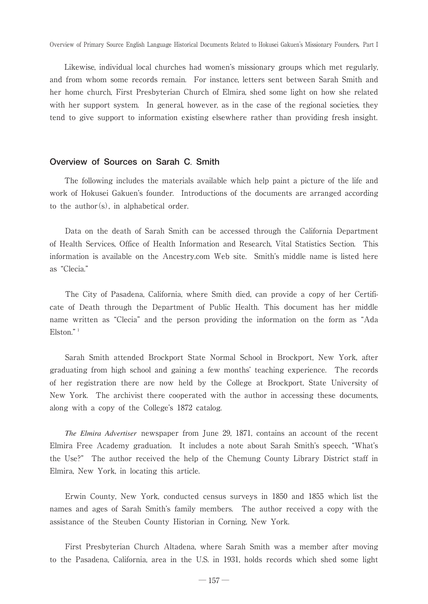Likewise, individual local churches had women's missionary groups which met regularly, and from whom some records remain. For instance, letters sent between Sarah Smith and her home church, First Presbyterian Church of Elmira, shed some light on how she related with her support system. In general, however, as in the case of the regional societies, they tend to give support to information existing elsewhere rather than providing fresh insight.

#### **Overview of Sources on Sarah C**. **Smith**

The following includes the materials available which help paint a picture of the life and work of Hokusei Gakuen's founder. Introductions of the documents are arranged according to the author(s), in alphabetical order.

Data on the death of Sarah Smith can be accessed through the California Department of Health Services, Office of Health Information and Research, Vital Statistics Section. This information is available on the Ancestry.com Web site. Smith's middle name is listed here as "Clecia."

The City of Pasadena, California, where Smith died, can provide a copy of her Certificate of Death through the Department of Public Health. This document has her middle name written as "Clecia" and the person providing the information on the form as "Ada  $E$ lston." $1$ 

Sarah Smith attended Brockport State Normal School in Brockport, New York, after graduating from high school and gaining a few months' teaching experience. The records of her registration there are now held by the College at Brockport, State University of New York. The archivist there cooperated with the author in accessing these documents, along with a copy of the College's 1872 catalog.

*The Elmira Advertiser* newspaper from June 29, 1871, contains an account of the recent Elmira Free Academy graduation. It includes a note about Sarah Smith's speech, "What's the Use?" The author received the help of the Chemung County Library District staff in Elmira, New York, in locating this article.

Erwin County, New York, conducted census surveys in 1850 and 1855 which list the names and ages of Sarah Smith's family members. The author received a copy with the assistance of the Steuben County Historian in Corning, New York.

First Presbyterian Church Altadena, where Sarah Smith was a member after moving to the Pasadena, California, area in the U.S. in 1931, holds records which shed some light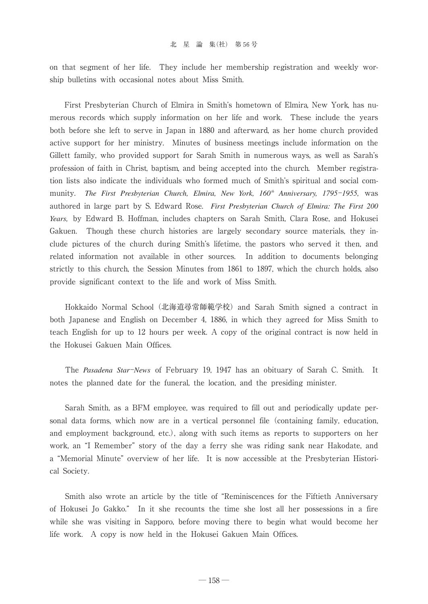on that segment of her life. They include her membership registration and weekly worship bulletins with occasional notes about Miss Smith.

First Presbyterian Church of Elmira in Smith-s hometown of Elmira, New York, has numerous records which supply information on her life and work. These include the years both before she left to serve in Japan in 1880 and afterward, as her home church provided active support for her ministry. Minutes of business meetings include information on the Gillett family, who provided support for Sarah Smith in numerous ways, as well as Sarah's profession of faith in Christ, baptism, and being accepted into the church. Member registration lists also indicate the individuals who formed much of Smith's spiritual and social community. The First Presbyterian Church, Elmira, New York, 160<sup>th</sup> Anniversary, 1795-1955, was authored in large part by S. Edward Rose. *First Presbyterian Church of Elmira: The First 200 Years,* by Edward B. Hoffman, includes chapters on Sarah Smith, Clara Rose, and Hokusei Gakuen. Though these church histories are largely secondary source materials, they include pictures of the church during Smith's lifetime, the pastors who served it then, and related information not available in other sources. In addition to documents belonging strictly to this church, the Session Minutes from 1861 to 1897, which the church holds, also provide significant context to the life and work of Miss Smith.

Hokkaido Normal School(北海道尋常師範学校)and Sarah Smith signed a contract in both Japanese and English on December 4, 1886, in which they agreed for Miss Smith to teach English for up to 12 hours per week. A copy of the original contract is now held in the Hokusei Gakuen Main Offices.

The *Pasadena Star*-*News* of February 19, 1947 has an obituary of Sarah C. Smith. It notes the planned date for the funeral, the location, and the presiding minister.

Sarah Smith, as a BFM employee, was required to fill out and periodically update personal data forms, which now are in a vertical personnel file (containing family, education, and employment background, etc.), along with such items as reports to supporters on her work, an "I Remember" story of the day a ferry she was riding sank near Hakodate, and a "Memorial Minute" overview of her life. It is now accessible at the Presbyterian Historical Society.

Smith also wrote an article by the title of "Reminiscences for the Fiftieth Anniversary of Hokusei Jo Gakko. In it she recounts the time she lost all her possessions in a fire while she was visiting in Sapporo, before moving there to begin what would become her life work. A copy is now held in the Hokusei Gakuen Main Offices.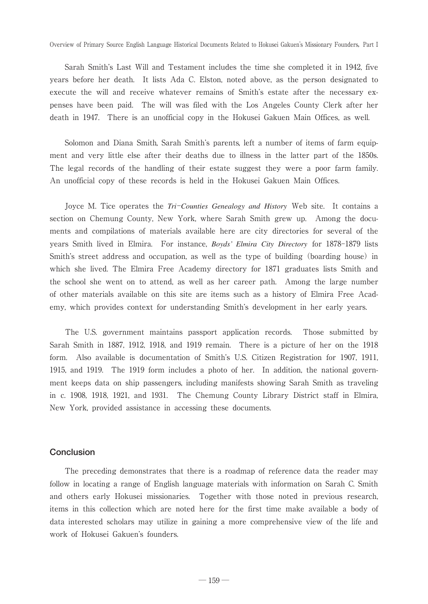Sarah Smith's Last Will and Testament includes the time she completed it in 1942, five years before her death. It lists Ada C. Elston, noted above, as the person designated to execute the will and receive whatever remains of Smith's estate after the necessary expenses have been paid. The will was filed with the Los Angeles County Clerk after her death in 1947. There is an unofficial copy in the Hokusei Gakuen Main Offices, as well.

Solomon and Diana Smith, Sarah Smith's parents, left a number of items of farm equipment and very little else after their deaths due to illness in the latter part of the 1850s. The legal records of the handling of their estate suggest they were a poor farm family. An unofficial copy of these records is held in the Hokusei Gakuen Main Offices.

Joyce M. Tice operates the *Tri*-*Counties Genealogy and History* Web site. It contains a section on Chemung County, New York, where Sarah Smith grew up. Among the documents and compilations of materials available here are city directories for several of the years Smith lived in Elmira. For instance, *Boyds' Elmira City Directory* for 1878-1879 lists Smith's street address and occupation, as well as the type of building (boarding house) in which she lived. The Elmira Free Academy directory for 1871 graduates lists Smith and the school she went on to attend, as well as her career path. Among the large number of other materials available on this site are items such as a history of Elmira Free Academy, which provides context for understanding Smith's development in her early years.

The U.S. government maintains passport application records. Those submitted by Sarah Smith in 1887, 1912, 1918, and 1919 remain. There is a picture of her on the 1918 form. Also available is documentation of Smith-s U.S. Citizen Registration for 1907, 1911, 1915, and 1919. The 1919 form includes a photo of her. In addition, the national government keeps data on ship passengers, including manifests showing Sarah Smith as traveling in c. 1908, 1918, 1921, and 1931. The Chemung County Library District staff in Elmira, New York, provided assistance in accessing these documents.

#### **Conclusion**

The preceding demonstrates that there is a roadmap of reference data the reader may follow in locating a range of English language materials with information on Sarah C. Smith and others early Hokusei missionaries. Together with those noted in previous research, items in this collection which are noted here for the first time make available a body of data interested scholars may utilize in gaining a more comprehensive view of the life and work of Hokusei Gakuen's founders.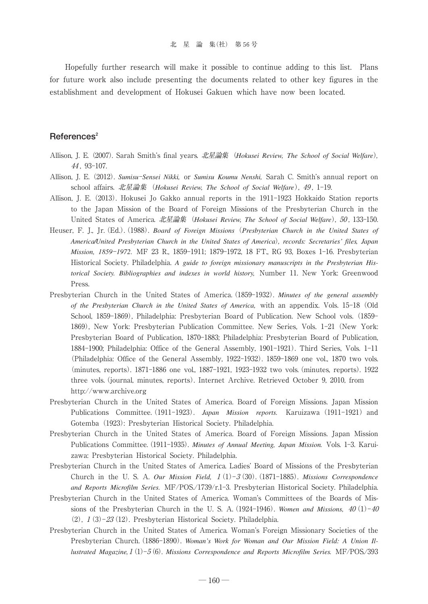Hopefully further research will make it possible to continue adding to this list. Plans for future work also include presenting the documents related to other key figures in the establishment and development of Hokusei Gakuen which have now been located.

# References<sup>2</sup>

- Allison, J. E.(2007). Sarah Smith-s final years. 北星論集 (*Hokusei Review, The School of Social Welfare*)*,* 44 , 93-107.
- Allison, J. E.(2012). *Sumisu*-*Sensei Nikki,* or *Sumisu Koumu Nenshi,* Sarah C. Smith-s annual report on school affairs. 北星論集 (*Hokusei Review, The School of Social Welfare*), <sup>49</sup> , 1-19.
- Allison, J. E.(2013). Hokusei Jo Gakko annual reports in the 1911-1923 Hokkaido Station reports to the Japan Mission of the Board of Foreign Missions of the Presbyterian Church in the United States of America. 北星論集 (*Hokusei Review, The School of Social Welfare*), <sup>50</sup> , 133-150.
- Heuser, F. J., Jr. (Ed.). (1988). *Board of Foreign Missions* (Presbyterian Church in the United States of *America/United Presbyterian Church in the United States of America, records: Secretaries' files, Japan Mission, 1859*-*1972.* MF 23 R., 1859-1911; 1879-1972, 18 FT., RG 93, Boxes 1-16. Presbyterian Historical Society. Philadelphia. *A guide to foreign missionary manuscripts in the Presbyterian Historical Society. Bibliographies and indexes in world history,* Number 11. New York: Greenwood Press.
- Presbyterian Church in the United States of America.(1859-1932). *Minutes of the general assembly* of the Presbyterian Church in the United States of America, with an appendix. Vols. 15-18 (Old School, 1859-1869), Philadelphia: Presbyterian Board of Publication. New School vols.(1859- 1869), New York: Presbyterian Publication Committee. New Series, Vols. 1-21(New York: Presbyterian Board of Publication, 1870-1883; Philadelphia: Presbyterian Board of Publication, 1884-1900; Philadelphia: Office of the General Assembly, 1901-1921). Third Series, Vols. 1-11 (Philadelphia: Office of the General Assembly, 1922-1932). 1859-1869 one vol., 1870 two vols. (minutes, reports). 1871-1886 one vol., 1887-1921, 1923-1932 two vols.(minutes, reports). 1922 three vols.(journal, minutes, reports). Internet Archive. Retrieved October 9, 2010, from http://www.archive.org
- Presbyterian Church in the United States of America. Board of Foreign Missions. Japan Mission Publications Committee. (1911-1923). *Japan Mission reports*. Karuizawa (1911-1921) and Gotemba (1923): Presbyterian Historical Society. Philadelphia.
- Presbyterian Church in the United States of America. Board of Foreign Missions. Japan Mission Publications Committee.(1911-1935). *Minutes of Annual Meeting, Japan Mission.* Vols. 1-3. Karuizawa: Presbyterian Historical Society. Philadelphia.
- Presbyterian Church in the United States of America. Ladies' Board of Missions of the Presbyterian Church in the U. S. A. *Our Mission Field, 1* (1) – 3 (30). (1871–1885). *Missions Correspondence and Reports Microfilm Series.* MF/POS./1739/r.1-3. Presbyterian Historical Society. Philadelphia.
- Presbyterian Church in the United States of America. Woman's Committees of the Boards of Missions of the Presbyterian Church in the U.S. A.  $(1924-1946)$ . *Women and Missions,*  $40(1)-40$  $(2)$ ,  $1(3)-23(12)$ . Presbyterian Historical Society. Philadelphia.
- Presbyterian Church in the United States of America. Woman's Foreign Missionary Societies of the Presbyterian Church. (1886-1890). Woman's Work for Woman and Our Mission Field: A Union Il*lustrated Magazine,*1(1)-<sup>5</sup>(6). *Missions Correspondence and Reports Microfilm Series.* MF/POS./393